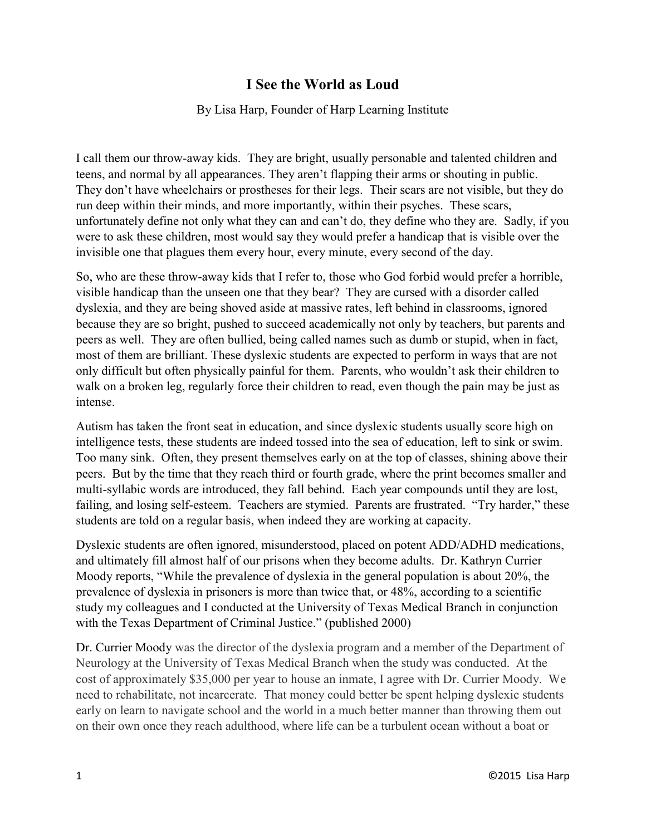## **I See the World as Loud**

## By Lisa Harp, Founder of Harp Learning Institute

I call them our throw-away kids. They are bright, usually personable and talented children and teens, and normal by all appearances. They aren't flapping their arms or shouting in public. They don't have wheelchairs or prostheses for their legs. Their scars are not visible, but they do run deep within their minds, and more importantly, within their psyches. These scars, unfortunately define not only what they can and can't do, they define who they are. Sadly, if you were to ask these children, most would say they would prefer a handicap that is visible over the invisible one that plagues them every hour, every minute, every second of the day.

So, who are these throw-away kids that I refer to, those who God forbid would prefer a horrible, visible handicap than the unseen one that they bear? They are cursed with a disorder called dyslexia, and they are being shoved aside at massive rates, left behind in classrooms, ignored because they are so bright, pushed to succeed academically not only by teachers, but parents and peers as well. They are often bullied, being called names such as dumb or stupid, when in fact, most of them are brilliant. These dyslexic students are expected to perform in ways that are not only difficult but often physically painful for them. Parents, who wouldn't ask their children to walk on a broken leg, regularly force their children to read, even though the pain may be just as intense.

Autism has taken the front seat in education, and since dyslexic students usually score high on intelligence tests, these students are indeed tossed into the sea of education, left to sink or swim. Too many sink. Often, they present themselves early on at the top of classes, shining above their peers. But by the time that they reach third or fourth grade, where the print becomes smaller and multi-syllabic words are introduced, they fall behind. Each year compounds until they are lost, failing, and losing self-esteem. Teachers are stymied. Parents are frustrated. "Try harder," these students are told on a regular basis, when indeed they are working at capacity.

Dyslexic students are often ignored, misunderstood, placed on potent ADD/ADHD medications, and ultimately fill almost half of our prisons when they become adults. Dr. Kathryn Currier Moody reports, "While the prevalence of dyslexia in the general population is about 20%, the prevalence of dyslexia in prisoners is more than twice that, or 48%, according to a scientific study my colleagues and I conducted at the University of Texas Medical Branch in conjunction with the Texas Department of Criminal Justice." (published 2000)

Dr. Currier Moody was the director of the dyslexia program and a member of the Department of Neurology at the University of Texas Medical Branch when the study was conducted. At the cost of approximately \$35,000 per year to house an inmate, I agree with Dr. Currier Moody. We need to rehabilitate, not incarcerate. That money could better be spent helping dyslexic students early on learn to navigate school and the world in a much better manner than throwing them out on their own once they reach adulthood, where life can be a turbulent ocean without a boat or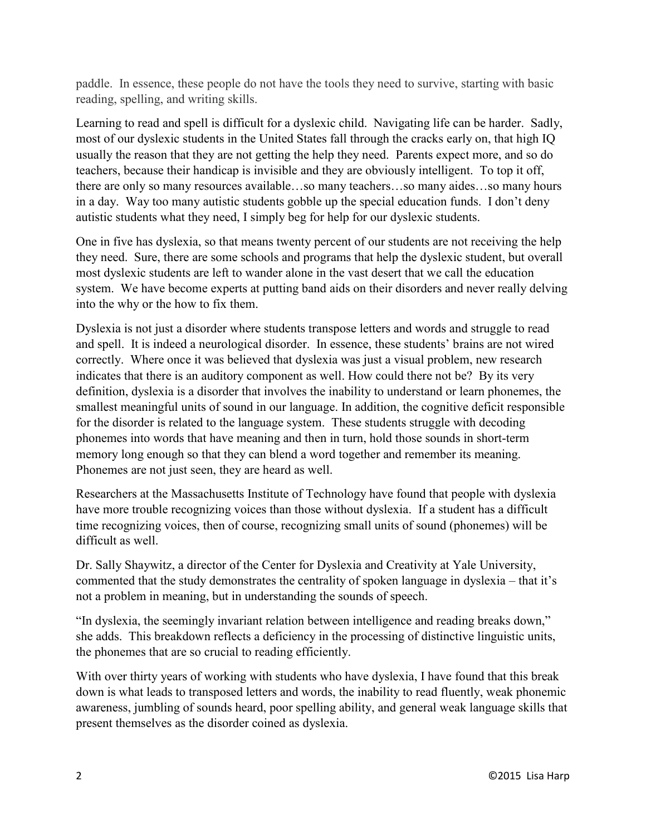paddle. In essence, these people do not have the tools they need to survive, starting with basic reading, spelling, and writing skills.

Learning to read and spell is difficult for a dyslexic child. Navigating life can be harder. Sadly, most of our dyslexic students in the United States fall through the cracks early on, that high IQ usually the reason that they are not getting the help they need. Parents expect more, and so do teachers, because their handicap is invisible and they are obviously intelligent. To top it off, there are only so many resources available…so many teachers…so many aides…so many hours in a day. Way too many autistic students gobble up the special education funds. I don't deny autistic students what they need, I simply beg for help for our dyslexic students.

One in five has dyslexia, so that means twenty percent of our students are not receiving the help they need. Sure, there are some schools and programs that help the dyslexic student, but overall most dyslexic students are left to wander alone in the vast desert that we call the education system. We have become experts at putting band aids on their disorders and never really delving into the why or the how to fix them.

Dyslexia is not just a disorder where students transpose letters and words and struggle to read and spell. It is indeed a neurological disorder. In essence, these students' brains are not wired correctly. Where once it was believed that dyslexia was just a visual problem, new research indicates that there is an auditory component as well. How could there not be? By its very definition, dyslexia is a disorder that involves the inability to understand or learn phonemes, the smallest meaningful units of sound in our language. In addition, the cognitive deficit responsible for the disorder is related to the language system. These students struggle with decoding phonemes into words that have meaning and then in turn, hold those sounds in short-term memory long enough so that they can blend a word together and remember its meaning. Phonemes are not just seen, they are heard as well.

Researchers at the Massachusetts Institute of Technology have found that people with dyslexia have more trouble recognizing voices than those without dyslexia. If a student has a difficult time recognizing voices, then of course, recognizing small units of sound (phonemes) will be difficult as well.

Dr. Sally Shaywitz, a director of the Center for Dyslexia and Creativity at Yale University, commented that the study demonstrates the centrality of spoken language in dyslexia – that it's not a problem in meaning, but in understanding the sounds of speech.

"In dyslexia, the seemingly invariant relation between intelligence and reading breaks down," she adds. This breakdown reflects a deficiency in the processing of distinctive linguistic units, the phonemes that are so crucial to reading efficiently.

With over thirty years of working with students who have dyslexia. I have found that this break down is what leads to transposed letters and words, the inability to read fluently, weak phonemic awareness, jumbling of sounds heard, poor spelling ability, and general weak language skills that present themselves as the disorder coined as dyslexia.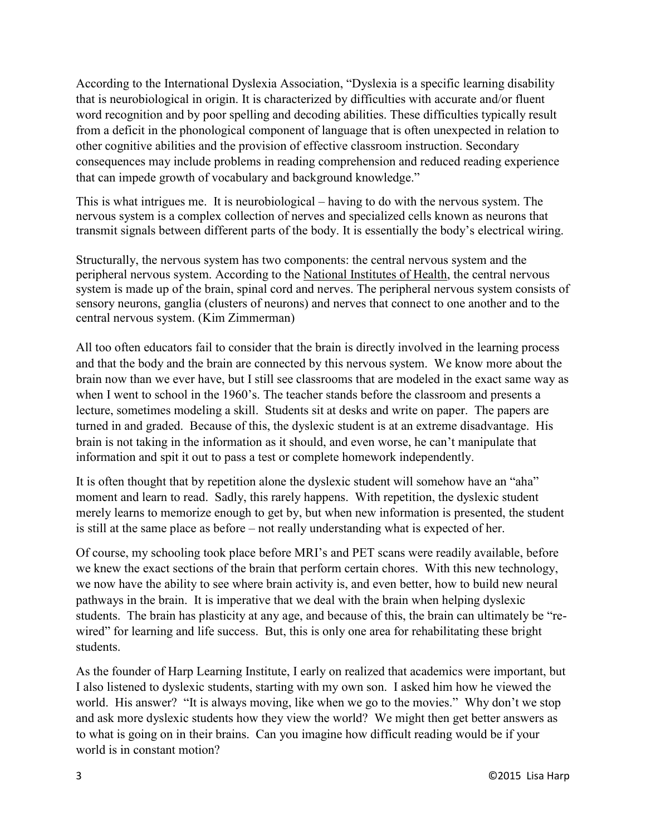According to the International Dyslexia Association, "Dyslexia is a specific learning disability that is neurobiological in origin. It is characterized by difficulties with accurate and/or fluent word recognition and by poor spelling and decoding abilities. These difficulties typically result from a deficit in the phonological component of language that is often unexpected in relation to other cognitive abilities and the provision of effective classroom instruction. Secondary consequences may include problems in reading comprehension and reduced reading experience that can impede growth of vocabulary and background knowledge."

This is what intrigues me. It is neurobiological – having to do with the nervous system. The nervous system is a complex collection of nerves and specialized cells known as neurons that transmit signals between different parts of the body. It is essentially the body's electrical wiring.

Structurally, the nervous system has two components: the central nervous system and the peripheral nervous system. According to the [National Institutes of Health,](http://www.nlm.nih.gov/medlineplus/neurologicdiseases.html) the central nervous system is made up of the brain, spinal cord and nerves. The peripheral nervous system consists of sensory neurons, ganglia (clusters of neurons) and nerves that connect to one another and to the central nervous system. (Kim Zimmerman)

All too often educators fail to consider that the brain is directly involved in the learning process and that the body and the brain are connected by this nervous system. We know more about the brain now than we ever have, but I still see classrooms that are modeled in the exact same way as when I went to school in the 1960's. The teacher stands before the classroom and presents a lecture, sometimes modeling a skill. Students sit at desks and write on paper. The papers are turned in and graded. Because of this, the dyslexic student is at an extreme disadvantage. His brain is not taking in the information as it should, and even worse, he can't manipulate that information and spit it out to pass a test or complete homework independently.

It is often thought that by repetition alone the dyslexic student will somehow have an "aha" moment and learn to read. Sadly, this rarely happens. With repetition, the dyslexic student merely learns to memorize enough to get by, but when new information is presented, the student is still at the same place as before – not really understanding what is expected of her.

Of course, my schooling took place before MRI's and PET scans were readily available, before we knew the exact sections of the brain that perform certain chores. With this new technology, we now have the ability to see where brain activity is, and even better, how to build new neural pathways in the brain. It is imperative that we deal with the brain when helping dyslexic students. The brain has plasticity at any age, and because of this, the brain can ultimately be "rewired" for learning and life success. But, this is only one area for rehabilitating these bright students.

As the founder of Harp Learning Institute, I early on realized that academics were important, but I also listened to dyslexic students, starting with my own son. I asked him how he viewed the world. His answer? "It is always moving, like when we go to the movies." Why don't we stop and ask more dyslexic students how they view the world? We might then get better answers as to what is going on in their brains. Can you imagine how difficult reading would be if your world is in constant motion?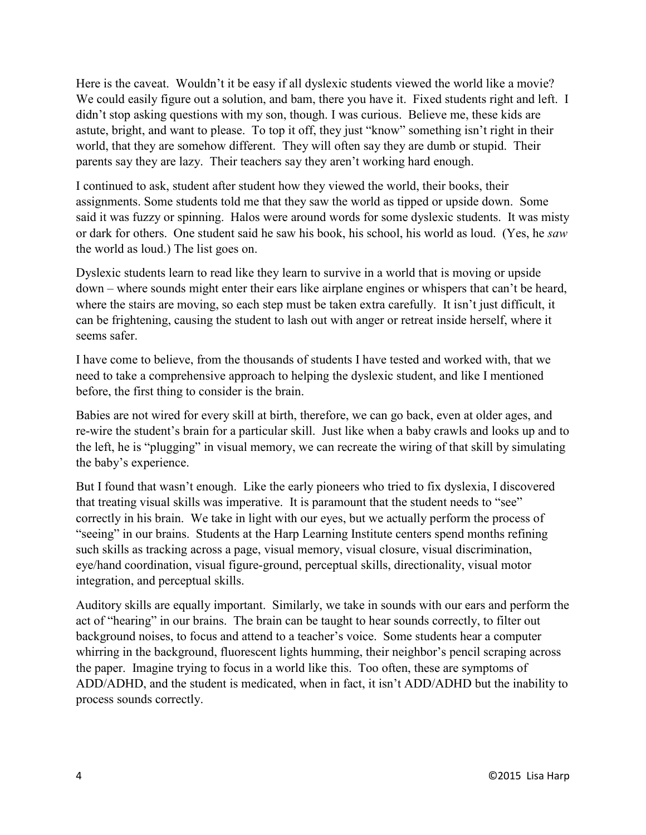Here is the caveat. Wouldn't it be easy if all dyslexic students viewed the world like a movie? We could easily figure out a solution, and bam, there you have it. Fixed students right and left. I didn't stop asking questions with my son, though. I was curious. Believe me, these kids are astute, bright, and want to please. To top it off, they just "know" something isn't right in their world, that they are somehow different. They will often say they are dumb or stupid. Their parents say they are lazy. Their teachers say they aren't working hard enough.

I continued to ask, student after student how they viewed the world, their books, their assignments. Some students told me that they saw the world as tipped or upside down. Some said it was fuzzy or spinning. Halos were around words for some dyslexic students. It was misty or dark for others. One student said he saw his book, his school, his world as loud. (Yes, he *saw* the world as loud.) The list goes on.

Dyslexic students learn to read like they learn to survive in a world that is moving or upside down – where sounds might enter their ears like airplane engines or whispers that can't be heard, where the stairs are moving, so each step must be taken extra carefully. It isn't just difficult, it can be frightening, causing the student to lash out with anger or retreat inside herself, where it seems safer.

I have come to believe, from the thousands of students I have tested and worked with, that we need to take a comprehensive approach to helping the dyslexic student, and like I mentioned before, the first thing to consider is the brain.

Babies are not wired for every skill at birth, therefore, we can go back, even at older ages, and re-wire the student's brain for a particular skill. Just like when a baby crawls and looks up and to the left, he is "plugging" in visual memory, we can recreate the wiring of that skill by simulating the baby's experience.

But I found that wasn't enough. Like the early pioneers who tried to fix dyslexia, I discovered that treating visual skills was imperative. It is paramount that the student needs to "see" correctly in his brain. We take in light with our eyes, but we actually perform the process of "seeing" in our brains. Students at the Harp Learning Institute centers spend months refining such skills as tracking across a page, visual memory, visual closure, visual discrimination, eye/hand coordination, visual figure-ground, perceptual skills, directionality, visual motor integration, and perceptual skills.

Auditory skills are equally important. Similarly, we take in sounds with our ears and perform the act of "hearing" in our brains. The brain can be taught to hear sounds correctly, to filter out background noises, to focus and attend to a teacher's voice. Some students hear a computer whirring in the background, fluorescent lights humming, their neighbor's pencil scraping across the paper. Imagine trying to focus in a world like this. Too often, these are symptoms of ADD/ADHD, and the student is medicated, when in fact, it isn't ADD/ADHD but the inability to process sounds correctly.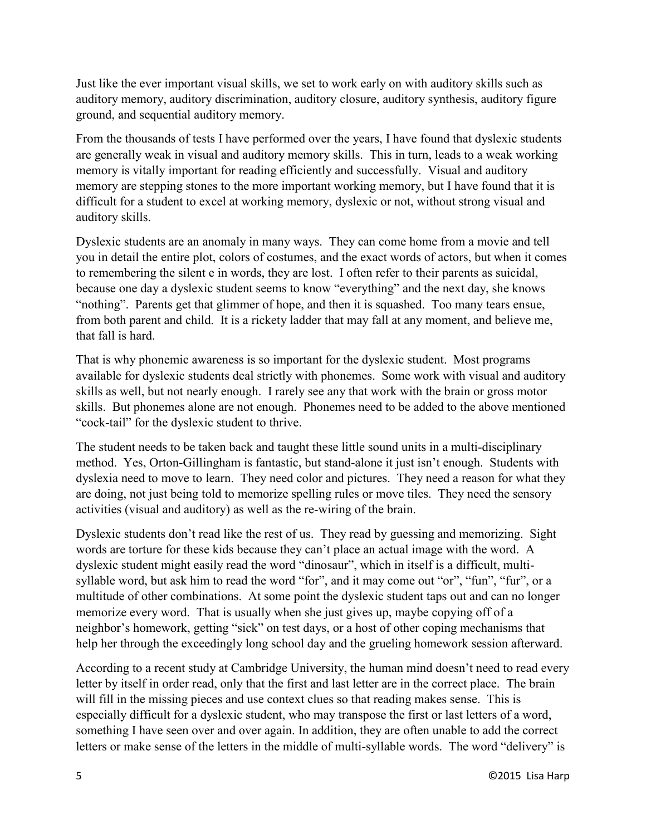Just like the ever important visual skills, we set to work early on with auditory skills such as auditory memory, auditory discrimination, auditory closure, auditory synthesis, auditory figure ground, and sequential auditory memory.

From the thousands of tests I have performed over the years, I have found that dyslexic students are generally weak in visual and auditory memory skills. This in turn, leads to a weak working memory is vitally important for reading efficiently and successfully. Visual and auditory memory are stepping stones to the more important working memory, but I have found that it is difficult for a student to excel at working memory, dyslexic or not, without strong visual and auditory skills.

Dyslexic students are an anomaly in many ways. They can come home from a movie and tell you in detail the entire plot, colors of costumes, and the exact words of actors, but when it comes to remembering the silent e in words, they are lost. I often refer to their parents as suicidal, because one day a dyslexic student seems to know "everything" and the next day, she knows "nothing". Parents get that glimmer of hope, and then it is squashed. Too many tears ensue, from both parent and child. It is a rickety ladder that may fall at any moment, and believe me, that fall is hard.

That is why phonemic awareness is so important for the dyslexic student. Most programs available for dyslexic students deal strictly with phonemes. Some work with visual and auditory skills as well, but not nearly enough. I rarely see any that work with the brain or gross motor skills. But phonemes alone are not enough. Phonemes need to be added to the above mentioned "cock-tail" for the dyslexic student to thrive.

The student needs to be taken back and taught these little sound units in a multi-disciplinary method. Yes, Orton-Gillingham is fantastic, but stand-alone it just isn't enough. Students with dyslexia need to move to learn. They need color and pictures. They need a reason for what they are doing, not just being told to memorize spelling rules or move tiles. They need the sensory activities (visual and auditory) as well as the re-wiring of the brain.

Dyslexic students don't read like the rest of us. They read by guessing and memorizing. Sight words are torture for these kids because they can't place an actual image with the word. A dyslexic student might easily read the word "dinosaur", which in itself is a difficult, multisyllable word, but ask him to read the word "for", and it may come out "or", "fun", "fur", or a multitude of other combinations. At some point the dyslexic student taps out and can no longer memorize every word. That is usually when she just gives up, maybe copying off of a neighbor's homework, getting "sick" on test days, or a host of other coping mechanisms that help her through the exceedingly long school day and the grueling homework session afterward.

According to a recent study at Cambridge University, the human mind doesn't need to read every letter by itself in order read, only that the first and last letter are in the correct place. The brain will fill in the missing pieces and use context clues so that reading makes sense. This is especially difficult for a dyslexic student, who may transpose the first or last letters of a word, something I have seen over and over again. In addition, they are often unable to add the correct letters or make sense of the letters in the middle of multi-syllable words. The word "delivery" is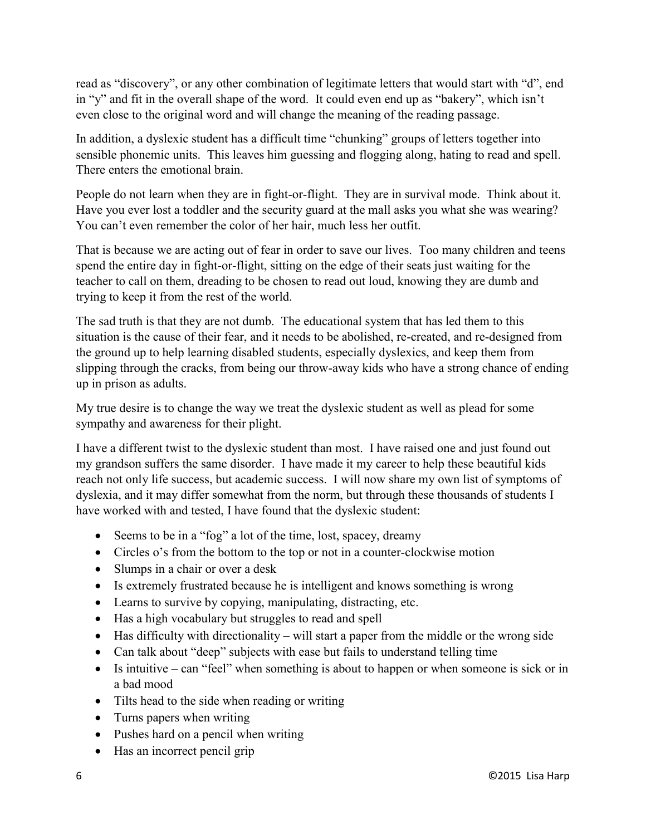read as "discovery", or any other combination of legitimate letters that would start with "d", end in "y" and fit in the overall shape of the word. It could even end up as "bakery", which isn't even close to the original word and will change the meaning of the reading passage.

In addition, a dyslexic student has a difficult time "chunking" groups of letters together into sensible phonemic units. This leaves him guessing and flogging along, hating to read and spell. There enters the emotional brain.

People do not learn when they are in fight-or-flight. They are in survival mode. Think about it. Have you ever lost a toddler and the security guard at the mall asks you what she was wearing? You can't even remember the color of her hair, much less her outfit.

That is because we are acting out of fear in order to save our lives. Too many children and teens spend the entire day in fight-or-flight, sitting on the edge of their seats just waiting for the teacher to call on them, dreading to be chosen to read out loud, knowing they are dumb and trying to keep it from the rest of the world.

The sad truth is that they are not dumb. The educational system that has led them to this situation is the cause of their fear, and it needs to be abolished, re-created, and re-designed from the ground up to help learning disabled students, especially dyslexics, and keep them from slipping through the cracks, from being our throw-away kids who have a strong chance of ending up in prison as adults.

My true desire is to change the way we treat the dyslexic student as well as plead for some sympathy and awareness for their plight.

I have a different twist to the dyslexic student than most. I have raised one and just found out my grandson suffers the same disorder. I have made it my career to help these beautiful kids reach not only life success, but academic success. I will now share my own list of symptoms of dyslexia, and it may differ somewhat from the norm, but through these thousands of students I have worked with and tested, I have found that the dyslexic student:

- Seems to be in a "fog" a lot of the time, lost, spacey, dreamy
- Circles o's from the bottom to the top or not in a counter-clockwise motion
- Slumps in a chair or over a desk
- Is extremely frustrated because he is intelligent and knows something is wrong
- Learns to survive by copying, manipulating, distracting, etc.
- Has a high vocabulary but struggles to read and spell
- Has difficulty with directionality will start a paper from the middle or the wrong side
- Can talk about "deep" subjects with ease but fails to understand telling time
- $\bullet$  Is intuitive can "feel" when something is about to happen or when someone is sick or in a bad mood
- Tilts head to the side when reading or writing
- Turns papers when writing
- Pushes hard on a pencil when writing
- Has an incorrect pencil grip